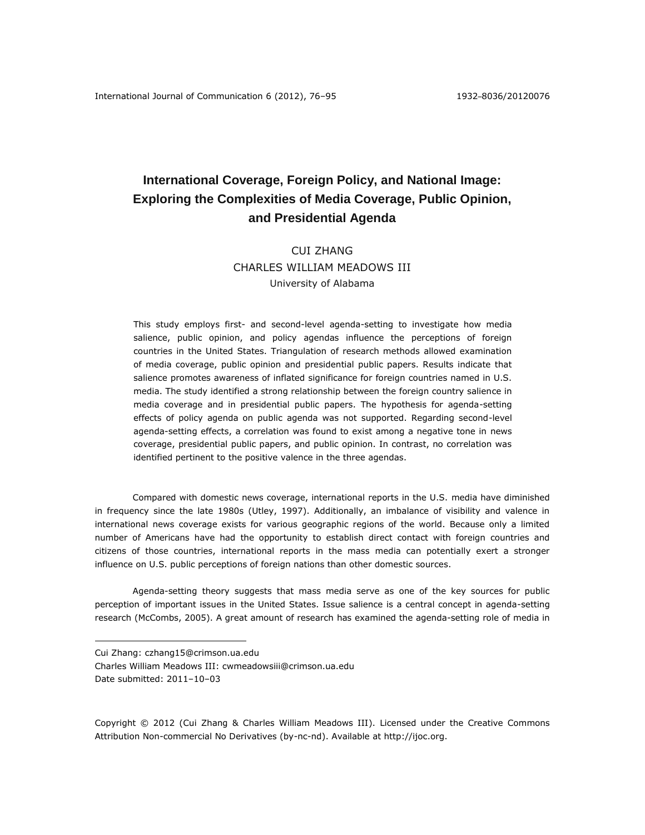# **International Coverage, Foreign Policy, and National Image: Exploring the Complexities of Media Coverage, Public Opinion, and Presidential Agenda**

# CUI ZHANG CHARLES WILLIAM MEADOWS III University of Alabama

This study employs first- and second-level agenda-setting to investigate how media salience, public opinion, and policy agendas influence the perceptions of foreign countries in the United States. Triangulation of research methods allowed examination of media coverage, public opinion and presidential public papers. Results indicate that salience promotes awareness of inflated significance for foreign countries named in U.S. media. The study identified a strong relationship between the foreign country salience in media coverage and in presidential public papers. The hypothesis for agenda-setting effects of policy agenda on public agenda was not supported. Regarding second-level agenda-setting effects, a correlation was found to exist among a negative tone in news coverage, presidential public papers, and public opinion. In contrast, no correlation was identified pertinent to the positive valence in the three agendas.

Compared with domestic news coverage, international reports in the U.S. media have diminished in frequency since the late 1980s (Utley, 1997). Additionally, an imbalance of visibility and valence in international news coverage exists for various geographic regions of the world. Because only a limited number of Americans have had the opportunity to establish direct contact with foreign countries and citizens of those countries, international reports in the mass media can potentially exert a stronger influence on U.S. public perceptions of foreign nations than other domestic sources.

Agenda-setting theory suggests that mass media serve as one of the key sources for public perception of important issues in the United States. Issue salience is a central concept in agenda-setting research (McCombs, 2005). A great amount of research has examined the agenda-setting role of media in

 $\overline{a}$ 

Copyright © 2012 (Cui Zhang & Charles William Meadows III). Licensed under the Creative Commons Attribution Non-commercial No Derivatives (by-nc-nd). Available at http://ijoc.org.

Cui Zhang: [czhang15@crimson.ua.edu](mailto:czhang15@crimson.ua.edu)

Charles William Meadows III: [cwmeadowsiii@crimson.ua.edu](mailto:cwmeadowsiii@crimson.ua.edu) Date submitted: 2011–10–03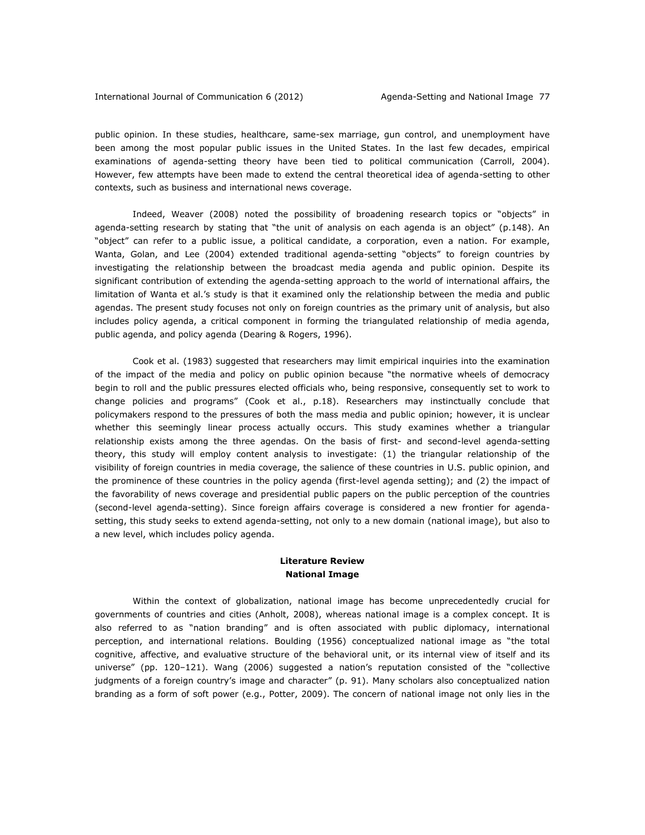public opinion. In these studies, healthcare, same-sex marriage, gun control, and unemployment have been among the most popular public issues in the United States. In the last few decades, empirical examinations of agenda-setting theory have been tied to political communication (Carroll, 2004). However, few attempts have been made to extend the central theoretical idea of agenda-setting to other contexts, such as business and international news coverage.

Indeed, Weaver (2008) noted the possibility of broadening research topics or "objects" in agenda-setting research by stating that "the unit of analysis on each agenda is an object" (p.148). An "object" can refer to a public issue, a political candidate, a corporation, even a nation. For example, Wanta, Golan, and Lee (2004) extended traditional agenda-setting "objects" to foreign countries by investigating the relationship between the broadcast media agenda and public opinion. Despite its significant contribution of extending the agenda-setting approach to the world of international affairs, the limitation of Wanta et al.'s study is that it examined only the relationship between the media and public agendas. The present study focuses not only on foreign countries as the primary unit of analysis, but also includes policy agenda, a critical component in forming the triangulated relationship of media agenda, public agenda, and policy agenda (Dearing & Rogers, 1996).

Cook et al. (1983) suggested that researchers may limit empirical inquiries into the examination of the impact of the media and policy on public opinion because "the normative wheels of democracy begin to roll and the public pressures elected officials who, being responsive, consequently set to work to change policies and programs" (Cook et al., p.18). Researchers may instinctually conclude that policymakers respond to the pressures of both the mass media and public opinion; however, it is unclear whether this seemingly linear process actually occurs. This study examines whether a triangular relationship exists among the three agendas. On the basis of first- and second-level agenda-setting theory, this study will employ content analysis to investigate: (1) the triangular relationship of the visibility of foreign countries in media coverage, the salience of these countries in U.S. public opinion, and the prominence of these countries in the policy agenda (first-level agenda setting); and (2) the impact of the favorability of news coverage and presidential public papers on the public perception of the countries (second-level agenda-setting). Since foreign affairs coverage is considered a new frontier for agendasetting, this study seeks to extend agenda-setting, not only to a new domain (national image), but also to a new level, which includes policy agenda.

### **Literature Review National Image**

Within the context of globalization, national image has become unprecedentedly crucial for governments of countries and cities (Anholt, 2008), whereas national image is a complex concept. It is also referred to as "nation branding" and is often associated with public diplomacy, international perception, and international relations. Boulding (1956) conceptualized national image as "the total cognitive, affective, and evaluative structure of the behavioral unit, or its internal view of itself and its universe" (pp. 120–121). Wang (2006) suggested a nation's reputation consisted of the "collective judgments of a foreign country's image and character" (p. 91). Many scholars also conceptualized nation branding as a form of soft power (e.g., Potter, 2009). The concern of national image not only lies in the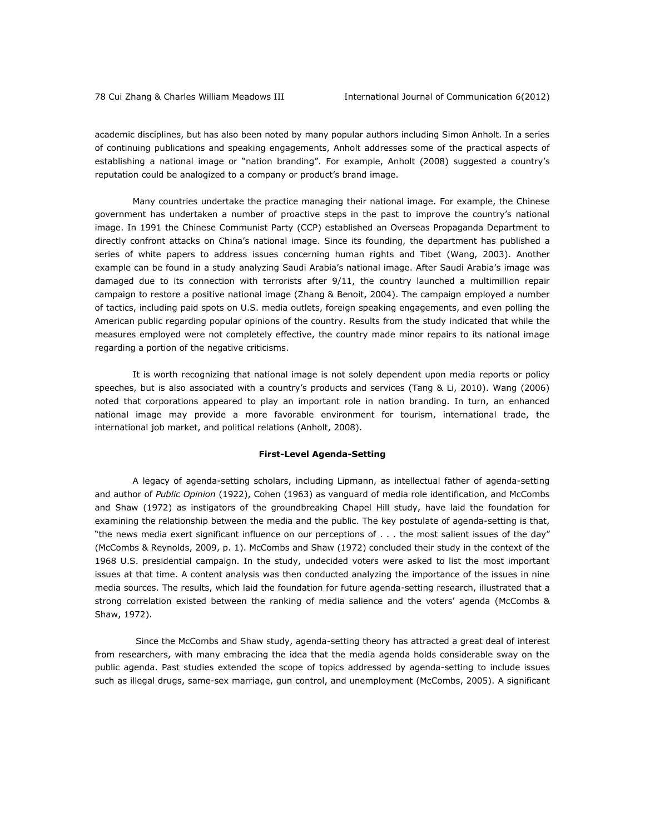academic disciplines, but has also been noted by many popular authors including Simon Anholt. In a series of continuing publications and speaking engagements, Anholt addresses some of the practical aspects of establishing a national image or "nation branding". For example, Anholt (2008) suggested a country's reputation could be analogized to a company or product's brand image.

Many countries undertake the practice managing their national image. For example, the Chinese government has undertaken a number of proactive steps in the past to improve the country's national image. In 1991 the Chinese Communist Party (CCP) established an Overseas Propaganda Department to directly confront attacks on China's national image. Since its founding, the department has published a series of white papers to address issues concerning human rights and Tibet (Wang, 2003). Another example can be found in a study analyzing Saudi Arabia's national image. After Saudi Arabia's image was damaged due to its connection with terrorists after 9/11, the country launched a multimillion repair campaign to restore a positive national image (Zhang & Benoit, 2004). The campaign employed a number of tactics, including paid spots on U.S. media outlets, foreign speaking engagements, and even polling the American public regarding popular opinions of the country. Results from the study indicated that while the measures employed were not completely effective, the country made minor repairs to its national image regarding a portion of the negative criticisms.

It is worth recognizing that national image is not solely dependent upon media reports or policy speeches, but is also associated with a country's products and services (Tang & Li, 2010). Wang (2006) noted that corporations appeared to play an important role in nation branding. In turn, an enhanced national image may provide a more favorable environment for tourism, international trade, the international job market, and political relations (Anholt, 2008).

#### **First-Level Agenda-Setting**

A legacy of agenda-setting scholars, including Lipmann, as intellectual father of agenda-setting and author of *Public Opinion* (1922), Cohen (1963) as vanguard of media role identification, and McCombs and Shaw (1972) as instigators of the groundbreaking Chapel Hill study, have laid the foundation for examining the relationship between the media and the public. The key postulate of agenda-setting is that, "the news media exert significant influence on our perceptions of . . . the most salient issues of the day" (McCombs & Reynolds, 2009, p. 1). McCombs and Shaw (1972) concluded their study in the context of the 1968 U.S. presidential campaign. In the study, undecided voters were asked to list the most important issues at that time. A content analysis was then conducted analyzing the importance of the issues in nine media sources. The results, which laid the foundation for future agenda-setting research, illustrated that a strong correlation existed between the ranking of media salience and the voters' agenda (McCombs & Shaw, 1972).

Since the McCombs and Shaw study, agenda-setting theory has attracted a great deal of interest from researchers, with many embracing the idea that the media agenda holds considerable sway on the public agenda. Past studies extended the scope of topics addressed by agenda-setting to include issues such as illegal drugs, same-sex marriage, gun control, and unemployment (McCombs, 2005). A significant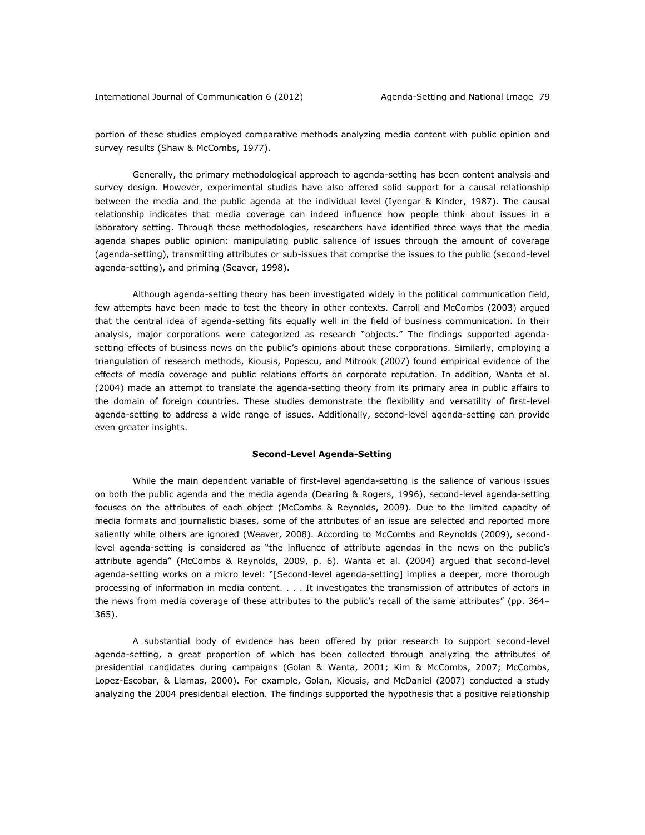portion of these studies employed comparative methods analyzing media content with public opinion and survey results (Shaw & McCombs, 1977).

Generally, the primary methodological approach to agenda-setting has been content analysis and survey design. However, experimental studies have also offered solid support for a causal relationship between the media and the public agenda at the individual level (Iyengar & Kinder, 1987). The causal relationship indicates that media coverage can indeed influence how people think about issues in a laboratory setting. Through these methodologies, researchers have identified three ways that the media agenda shapes public opinion: manipulating public salience of issues through the amount of coverage (agenda-setting), transmitting attributes or sub-issues that comprise the issues to the public (second-level agenda-setting), and priming (Seaver, 1998).

Although agenda-setting theory has been investigated widely in the political communication field, few attempts have been made to test the theory in other contexts. Carroll and McCombs (2003) argued that the central idea of agenda-setting fits equally well in the field of business communication. In their analysis, major corporations were categorized as research "objects." The findings supported agendasetting effects of business news on the public's opinions about these corporations. Similarly, employing a triangulation of research methods, Kiousis, Popescu, and Mitrook (2007) found empirical evidence of the effects of media coverage and public relations efforts on corporate reputation. In addition, Wanta et al. (2004) made an attempt to translate the agenda-setting theory from its primary area in public affairs to the domain of foreign countries. These studies demonstrate the flexibility and versatility of first-level agenda-setting to address a wide range of issues. Additionally, second-level agenda-setting can provide even greater insights.

#### **Second-Level Agenda-Setting**

While the main dependent variable of first-level agenda-setting is the salience of various issues on both the public agenda and the media agenda (Dearing & Rogers, 1996), second-level agenda-setting focuses on the attributes of each object (McCombs & Reynolds, 2009). Due to the limited capacity of media formats and journalistic biases, some of the attributes of an issue are selected and reported more saliently while others are ignored (Weaver, 2008). According to McCombs and Reynolds (2009), secondlevel agenda-setting is considered as "the influence of attribute agendas in the news on the public's attribute agenda" (McCombs & Reynolds, 2009, p. 6). Wanta et al. (2004) argued that second-level agenda-setting works on a micro level: "[Second-level agenda-setting] implies a deeper, more thorough processing of information in media content. . . . It investigates the transmission of attributes of actors in the news from media coverage of these attributes to the public's recall of the same attributes" (pp. 364– 365).

A substantial body of evidence has been offered by prior research to support second-level agenda-setting, a great proportion of which has been collected through analyzing the attributes of presidential candidates during campaigns (Golan & Wanta, 2001; Kim & McCombs, 2007; McCombs, Lopez-Escobar, & Llamas, 2000). For example, Golan, Kiousis, and McDaniel (2007) conducted a study analyzing the 2004 presidential election. The findings supported the hypothesis that a positive relationship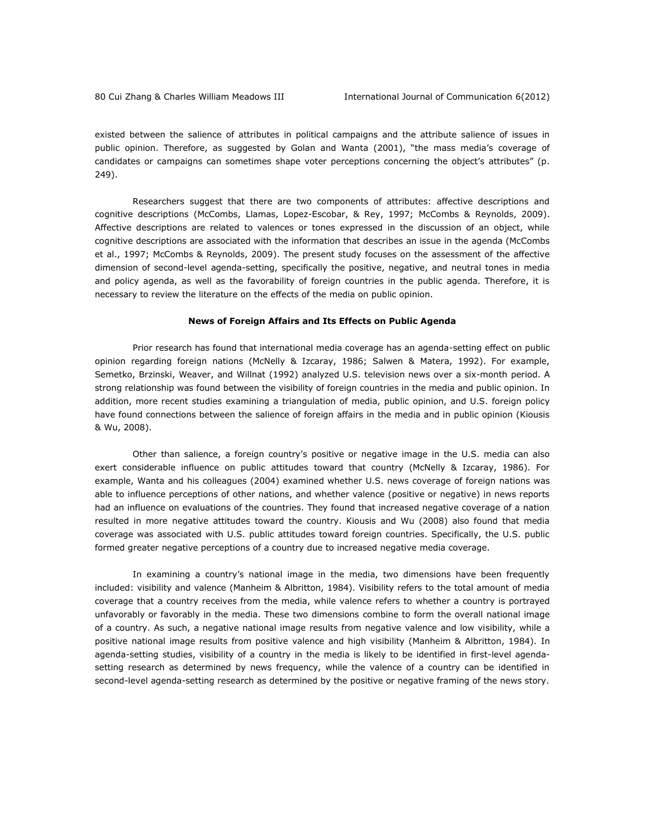existed between the salience of attributes in political campaigns and the attribute salience of issues in public opinion. Therefore, as suggested by Golan and Wanta (2001), "the mass media's coverage of candidates or campaigns can sometimes shape voter perceptions concerning the object's attributes" (p. 249).

Researchers suggest that there are two components of attributes: affective descriptions and cognitive descriptions (McCombs, Llamas, Lopez-Escobar, & Rey, 1997; McCombs & Reynolds, 2009). Affective descriptions are related to valences or tones expressed in the discussion of an object, while cognitive descriptions are associated with the information that describes an issue in the agenda (McCombs et al., 1997; McCombs & Reynolds, 2009). The present study focuses on the assessment of the affective dimension of second-level agenda-setting, specifically the positive, negative, and neutral tones in media and policy agenda, as well as the favorability of foreign countries in the public agenda. Therefore, it is necessary to review the literature on the effects of the media on public opinion.

#### **News of Foreign Affairs and Its Effects on Public Agenda**

Prior research has found that international media coverage has an agenda-setting effect on public opinion regarding foreign nations (McNelly & Izcaray, 1986; Salwen & Matera, 1992). For example, Semetko, Brzinski, Weaver, and Willnat (1992) analyzed U.S. television news over a six-month period. A strong relationship was found between the visibility of foreign countries in the media and public opinion. In addition, more recent studies examining a triangulation of media, public opinion, and U.S. foreign policy have found connections between the salience of foreign affairs in the media and in public opinion (Kiousis & Wu, 2008).

Other than salience, a foreign country's positive or negative image in the U.S. media can also exert considerable influence on public attitudes toward that country (McNelly & Izcaray, 1986). For example, Wanta and his colleagues (2004) examined whether U.S. news coverage of foreign nations was able to influence perceptions of other nations, and whether valence (positive or negative) in news reports had an influence on evaluations of the countries. They found that increased negative coverage of a nation resulted in more negative attitudes toward the country. Kiousis and Wu (2008) also found that media coverage was associated with U.S. public attitudes toward foreign countries. Specifically, the U.S. public formed greater negative perceptions of a country due to increased negative media coverage.

In examining a country's national image in the media, two dimensions have been frequently included: visibility and valence (Manheim & Albritton, 1984). Visibility refers to the total amount of media coverage that a country receives from the media, while valence refers to whether a country is portrayed unfavorably or favorably in the media. These two dimensions combine to form the overall national image of a country. As such, a negative national image results from negative valence and low visibility, while a positive national image results from positive valence and high visibility (Manheim & Albritton, 1984). In agenda-setting studies, visibility of a country in the media is likely to be identified in first-level agendasetting research as determined by news frequency, while the valence of a country can be identified in second-level agenda-setting research as determined by the positive or negative framing of the news story.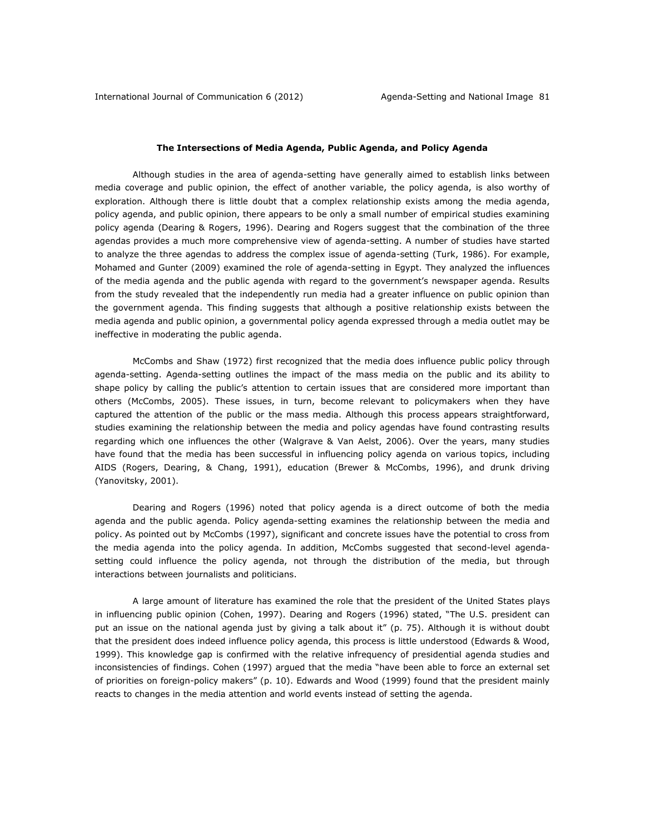#### **The Intersections of Media Agenda, Public Agenda, and Policy Agenda**

Although studies in the area of agenda-setting have generally aimed to establish links between media coverage and public opinion, the effect of another variable, the policy agenda, is also worthy of exploration. Although there is little doubt that a complex relationship exists among the media agenda, policy agenda, and public opinion, there appears to be only a small number of empirical studies examining policy agenda (Dearing & Rogers, 1996). Dearing and Rogers suggest that the combination of the three agendas provides a much more comprehensive view of agenda-setting. A number of studies have started to analyze the three agendas to address the complex issue of agenda-setting (Turk, 1986). For example, Mohamed and Gunter (2009) examined the role of agenda-setting in Egypt. They analyzed the influences of the media agenda and the public agenda with regard to the government's newspaper agenda. Results from the study revealed that the independently run media had a greater influence on public opinion than the government agenda. This finding suggests that although a positive relationship exists between the media agenda and public opinion, a governmental policy agenda expressed through a media outlet may be ineffective in moderating the public agenda.

McCombs and Shaw (1972) first recognized that the media does influence public policy through agenda-setting. Agenda-setting outlines the impact of the mass media on the public and its ability to shape policy by calling the public's attention to certain issues that are considered more important than others (McCombs, 2005). These issues, in turn, become relevant to policymakers when they have captured the attention of the public or the mass media. Although this process appears straightforward, studies examining the relationship between the media and policy agendas have found contrasting results regarding which one influences the other (Walgrave & Van Aelst, 2006). Over the years, many studies have found that the media has been successful in influencing policy agenda on various topics, including AIDS (Rogers, Dearing, & Chang, 1991), education (Brewer & McCombs, 1996), and drunk driving (Yanovitsky, 2001).

Dearing and Rogers (1996) noted that policy agenda is a direct outcome of both the media agenda and the public agenda. Policy agenda-setting examines the relationship between the media and policy. As pointed out by McCombs (1997), significant and concrete issues have the potential to cross from the media agenda into the policy agenda. In addition, McCombs suggested that second-level agendasetting could influence the policy agenda, not through the distribution of the media, but through interactions between journalists and politicians.

A large amount of literature has examined the role that the president of the United States plays in influencing public opinion (Cohen, 1997). Dearing and Rogers (1996) stated, "The U.S. president can put an issue on the national agenda just by giving a talk about it" (p. 75). Although it is without doubt that the president does indeed influence policy agenda, this process is little understood (Edwards & Wood, 1999). This knowledge gap is confirmed with the relative infrequency of presidential agenda studies and inconsistencies of findings. Cohen (1997) argued that the media "have been able to force an external set of priorities on foreign-policy makers" (p. 10). Edwards and Wood (1999) found that the president mainly reacts to changes in the media attention and world events instead of setting the agenda.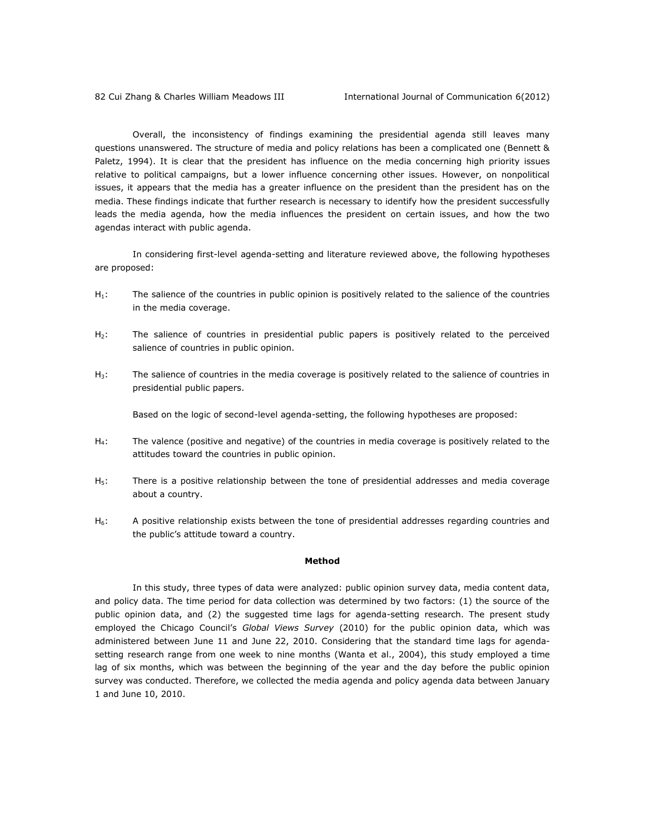Overall, the inconsistency of findings examining the presidential agenda still leaves many questions unanswered. The structure of media and policy relations has been a complicated one (Bennett & Paletz, 1994). It is clear that the president has influence on the media concerning high priority issues relative to political campaigns, but a lower influence concerning other issues. However, on nonpolitical issues, it appears that the media has a greater influence on the president than the president has on the media. These findings indicate that further research is necessary to identify how the president successfully leads the media agenda, how the media influences the president on certain issues, and how the two agendas interact with public agenda.

In considering first-level agenda-setting and literature reviewed above, the following hypotheses are proposed:

- $H_1$ : The salience of the countries in public opinion is positively related to the salience of the countries in the media coverage.
- $H_2$ : The salience of countries in presidential public papers is positively related to the perceived salience of countries in public opinion.
- $H_3$ : The salience of countries in the media coverage is positively related to the salience of countries in presidential public papers.

Based on the logic of second-level agenda-setting, the following hypotheses are proposed:

- $H_4$ : The valence (positive and negative) of the countries in media coverage is positively related to the attitudes toward the countries in public opinion.
- H<sub>5</sub>: There is a positive relationship between the tone of presidential addresses and media coverage about a country.
- $H_6$ : A positive relationship exists between the tone of presidential addresses regarding countries and the public's attitude toward a country.

#### **Method**

In this study, three types of data were analyzed: public opinion survey data, media content data, and policy data. The time period for data collection was determined by two factors: (1) the source of the public opinion data, and (2) the suggested time lags for agenda-setting research. The present study employed the Chicago Council's *Global Views Survey* (2010) for the public opinion data, which was administered between June 11 and June 22, 2010. Considering that the standard time lags for agendasetting research range from one week to nine months (Wanta et al., 2004), this study employed a time lag of six months, which was between the beginning of the year and the day before the public opinion survey was conducted. Therefore, we collected the media agenda and policy agenda data between January 1 and June 10, 2010.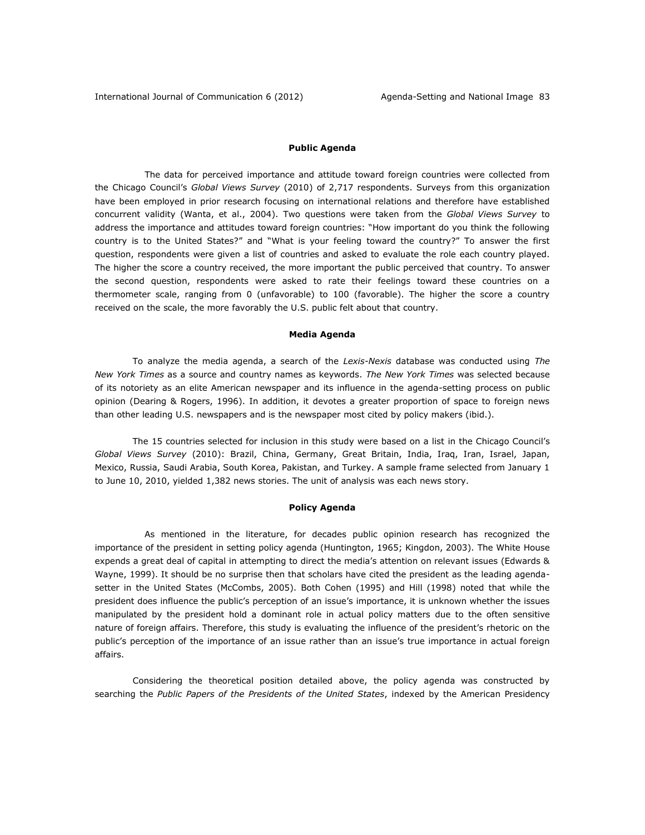#### **Public Agenda**

 The data for perceived importance and attitude toward foreign countries were collected from the Chicago Council's *Global Views Survey* (2010) of 2,717 respondents. Surveys from this organization have been employed in prior research focusing on international relations and therefore have established concurrent validity (Wanta, et al., 2004). Two questions were taken from the *Global Views Survey* to address the importance and attitudes toward foreign countries: "How important do you think the following country is to the United States?" and "What is your feeling toward the country?" To answer the first question, respondents were given a list of countries and asked to evaluate the role each country played. The higher the score a country received, the more important the public perceived that country. To answer the second question, respondents were asked to rate their feelings toward these countries on a thermometer scale, ranging from 0 (unfavorable) to 100 (favorable). The higher the score a country received on the scale, the more favorably the U.S. public felt about that country.

#### **Media Agenda**

To analyze the media agenda, a search of the *Lexis-Nexis* database was conducted using *The New York Times* as a source and country names as keywords. *The New York Times* was selected because of its notoriety as an elite American newspaper and its influence in the agenda-setting process on public opinion (Dearing & Rogers, 1996). In addition, it devotes a greater proportion of space to foreign news than other leading U.S. newspapers and is the newspaper most cited by policy makers (ibid.).

The 15 countries selected for inclusion in this study were based on a list in the Chicago Council's *Global Views Survey* (2010): Brazil, China, Germany, Great Britain, India, Iraq, Iran, Israel, Japan, Mexico, Russia, Saudi Arabia, South Korea, Pakistan, and Turkey. A sample frame selected from January 1 to June 10, 2010, yielded 1,382 news stories. The unit of analysis was each news story.

#### **Policy Agenda**

 As mentioned in the literature, for decades public opinion research has recognized the importance of the president in setting policy agenda (Huntington, 1965; Kingdon, 2003). The White House expends a great deal of capital in attempting to direct the media's attention on relevant issues (Edwards & Wayne, 1999). It should be no surprise then that scholars have cited the president as the leading agendasetter in the United States (McCombs, 2005). Both Cohen (1995) and Hill (1998) noted that while the president does influence the public's perception of an issue's importance, it is unknown whether the issues manipulated by the president hold a dominant role in actual policy matters due to the often sensitive nature of foreign affairs. Therefore, this study is evaluating the influence of the president's rhetoric on the public's perception of the importance of an issue rather than an issue's true importance in actual foreign affairs.

Considering the theoretical position detailed above, the policy agenda was constructed by searching the *Public Papers of the Presidents of the United States*, indexed by the American Presidency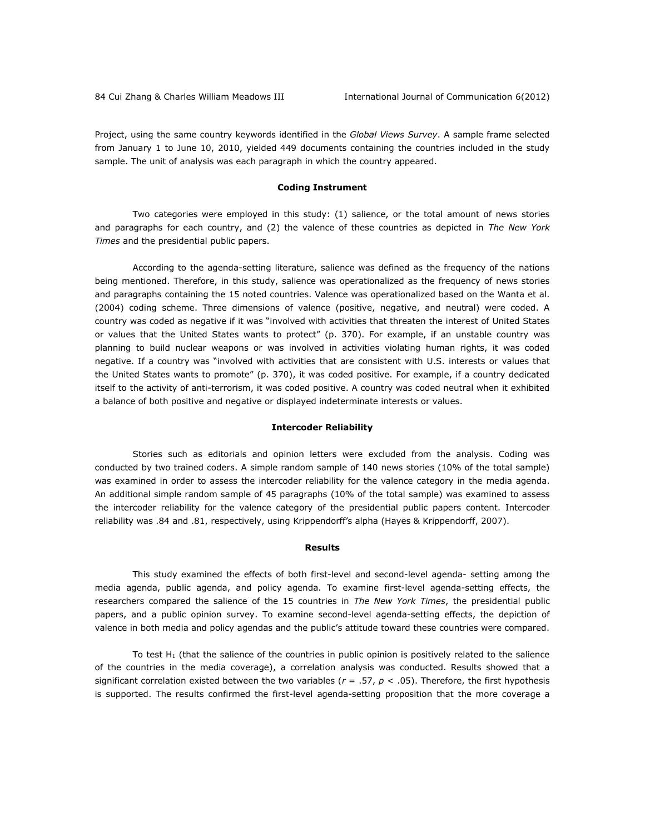Project, using the same country keywords identified in the *Global Views Survey*. A sample frame selected from January 1 to June 10, 2010, yielded 449 documents containing the countries included in the study sample. The unit of analysis was each paragraph in which the country appeared.

#### **Coding Instrument**

Two categories were employed in this study: (1) salience, or the total amount of news stories and paragraphs for each country, and (2) the valence of these countries as depicted in *The New York Times* and the presidential public papers.

According to the agenda-setting literature, salience was defined as the frequency of the nations being mentioned. Therefore, in this study, salience was operationalized as the frequency of news stories and paragraphs containing the 15 noted countries. Valence was operationalized based on the Wanta et al. (2004) coding scheme. Three dimensions of valence (positive, negative, and neutral) were coded. A country was coded as negative if it was "involved with activities that threaten the interest of United States or values that the United States wants to protect" (p. 370). For example, if an unstable country was planning to build nuclear weapons or was involved in activities violating human rights, it was coded negative. If a country was "involved with activities that are consistent with U.S. interests or values that the United States wants to promote" (p. 370), it was coded positive. For example, if a country dedicated itself to the activity of anti-terrorism, it was coded positive. A country was coded neutral when it exhibited a balance of both positive and negative or displayed indeterminate interests or values.

#### **Intercoder Reliability**

Stories such as editorials and opinion letters were excluded from the analysis. Coding was conducted by two trained coders. A simple random sample of 140 news stories (10% of the total sample) was examined in order to assess the intercoder reliability for the valence category in the media agenda. An additional simple random sample of 45 paragraphs (10% of the total sample) was examined to assess the intercoder reliability for the valence category of the presidential public papers content. Intercoder reliability was .84 and .81, respectively, using Krippendorff's alpha (Hayes & Krippendorff, 2007).

#### **Results**

This study examined the effects of both first-level and second-level agenda- setting among the media agenda, public agenda, and policy agenda. To examine first-level agenda-setting effects, the researchers compared the salience of the 15 countries in *The New York Times*, the presidential public papers, and a public opinion survey. To examine second-level agenda-setting effects, the depiction of valence in both media and policy agendas and the public's attitude toward these countries were compared.

To test H<sub>1</sub> (that the salience of the countries in public opinion is positively related to the salience of the countries in the media coverage), a correlation analysis was conducted. Results showed that a significant correlation existed between the two variables (*r* = .57, *p* < .05). Therefore, the first hypothesis is supported. The results confirmed the first-level agenda-setting proposition that the more coverage a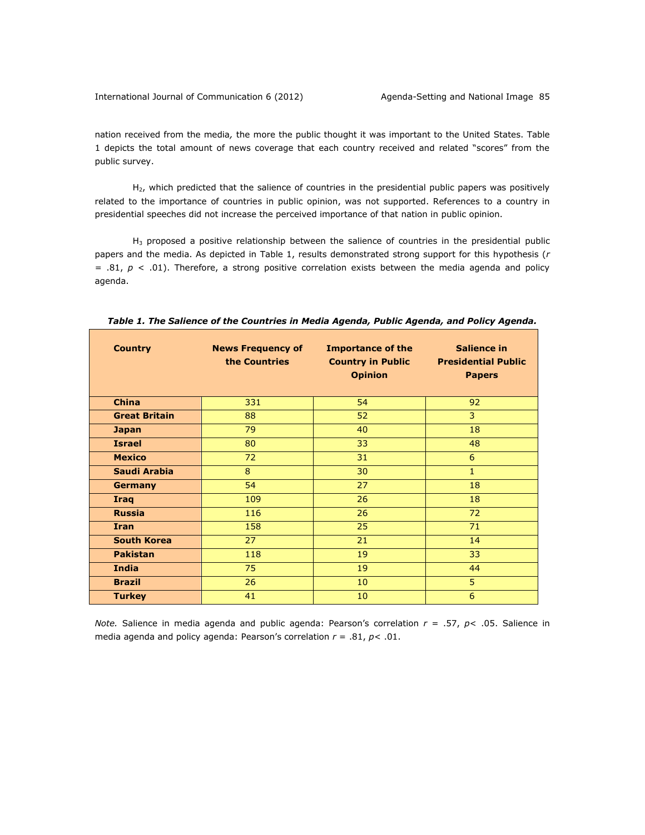nation received from the media*,* the more the public thought it was important to the United States. Table 1 depicts the total amount of news coverage that each country received and related "scores" from the public survey.

H<sub>2</sub>, which predicted that the salience of countries in the presidential public papers was positively related to the importance of countries in public opinion, was not supported. References to a country in presidential speeches did not increase the perceived importance of that nation in public opinion.

 $H_3$  proposed a positive relationship between the salience of countries in the presidential public papers and the media. As depicted in Table 1, results demonstrated strong support for this hypothesis (*r* = .81, *p* < .01). Therefore, a strong positive correlation exists between the media agenda and policy agenda.

| <b>Country</b>       | <b>News Frequency of</b><br>the Countries | <b>Importance of the</b><br><b>Country in Public</b><br><b>Opinion</b> | Salience in<br><b>Presidential Public</b><br><b>Papers</b> |
|----------------------|-------------------------------------------|------------------------------------------------------------------------|------------------------------------------------------------|
| <b>China</b>         | 331                                       | 54                                                                     | 92                                                         |
| <b>Great Britain</b> | 88                                        | 52                                                                     | 3                                                          |
| <b>Japan</b>         | 79                                        | 40                                                                     | 18                                                         |
| <b>Israel</b>        | 80                                        | 33                                                                     | 48                                                         |
| <b>Mexico</b>        | 72                                        | 31                                                                     | 6                                                          |
| Saudi Arabia         | 8                                         | 30                                                                     | $\mathbf{1}$                                               |
| <b>Germany</b>       | 54                                        | 27                                                                     | 18                                                         |
| <b>Iraq</b>          | 109                                       | 26                                                                     | 18                                                         |
| <b>Russia</b>        | 116                                       | 26                                                                     | 72                                                         |
| <b>Iran</b>          | 158                                       | 25                                                                     | 71                                                         |
| <b>South Korea</b>   | 27                                        | 21                                                                     | 14                                                         |
| <b>Pakistan</b>      | 118                                       | 19                                                                     | 33                                                         |
| <b>India</b>         | 75                                        | 19                                                                     | 44                                                         |
| <b>Brazil</b>        | 26                                        | 10                                                                     | 5                                                          |
| <b>Turkey</b>        | 41                                        | 10                                                                     | 6                                                          |

*Table 1. The Salience of the Countries in Media Agenda, Public Agenda, and Policy Agenda.*

*Note.* Salience in media agenda and public agenda: Pearson's correlation *r* = .57, *p*< .05. Salience in media agenda and policy agenda: Pearson's correlation *r* = .81, *p*< .01.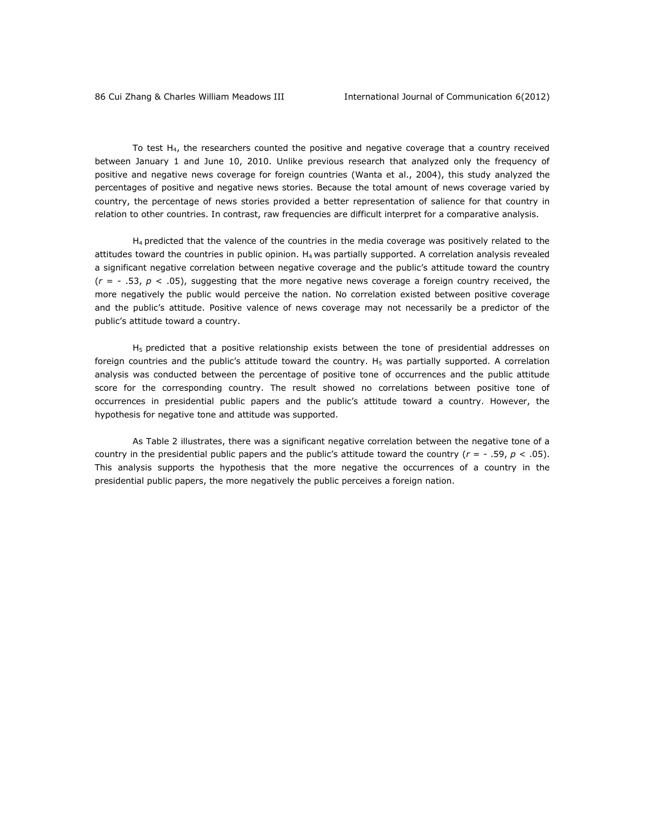To test H4, the researchers counted the positive and negative coverage that a country received between January 1 and June 10, 2010. Unlike previous research that analyzed only the frequency of positive and negative news coverage for foreign countries (Wanta et al., 2004), this study analyzed the percentages of positive and negative news stories. Because the total amount of news coverage varied by country, the percentage of news stories provided a better representation of salience for that country in relation to other countries. In contrast, raw frequencies are difficult interpret for a comparative analysis.

 $H_4$  predicted that the valence of the countries in the media coverage was positively related to the attitudes toward the countries in public opinion. H<sub>4</sub> was partially supported. A correlation analysis revealed a significant negative correlation between negative coverage and the public's attitude toward the country  $(r = -0.53, p < 0.05)$ , suggesting that the more negative news coverage a foreign country received, the more negatively the public would perceive the nation. No correlation existed between positive coverage and the public's attitude. Positive valence of news coverage may not necessarily be a predictor of the public's attitude toward a country.

 $H<sub>5</sub>$  predicted that a positive relationship exists between the tone of presidential addresses on foreign countries and the public's attitude toward the country.  $H_5$  was partially supported. A correlation analysis was conducted between the percentage of positive tone of occurrences and the public attitude score for the corresponding country. The result showed no correlations between positive tone of occurrences in presidential public papers and the public's attitude toward a country. However, the hypothesis for negative tone and attitude was supported.

As Table 2 illustrates, there was a significant negative correlation between the negative tone of a country in the presidential public papers and the public's attitude toward the country  $(r = -0.59, p < 0.05)$ . This analysis supports the hypothesis that the more negative the occurrences of a country in the presidential public papers, the more negatively the public perceives a foreign nation.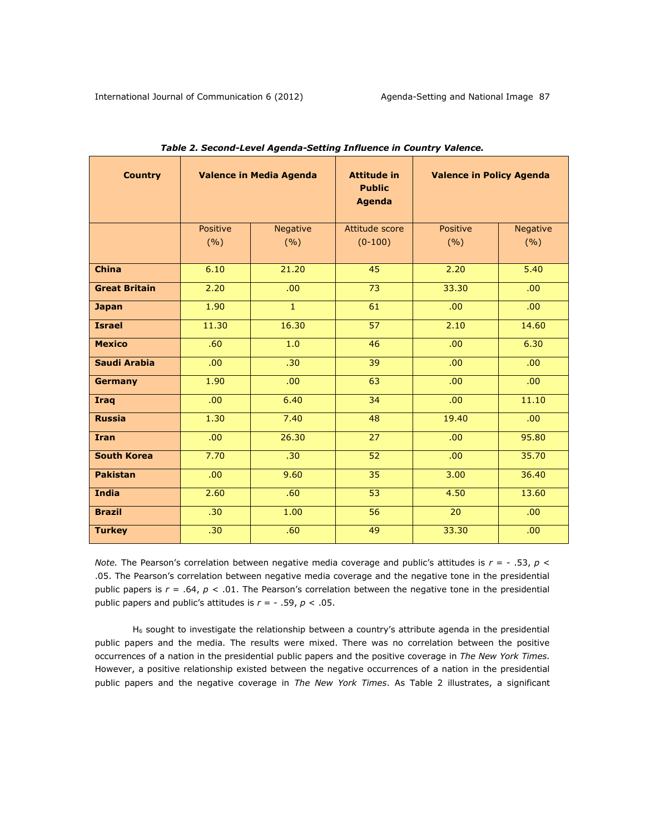| <b>Country</b>       | Valence in Media Agenda |                          | <b>Attitude in</b><br><b>Public</b><br><b>Agenda</b> | <b>Valence in Policy Agenda</b> |                 |
|----------------------|-------------------------|--------------------------|------------------------------------------------------|---------------------------------|-----------------|
|                      | Positive<br>(%)         | <b>Negative</b><br>(9/6) | Attitude score<br>$(0-100)$                          | Positive<br>(9/6)               | Negative<br>(%) |
| <b>China</b>         | 6.10                    | 21.20                    | 45                                                   | 2.20                            | 5.40            |
| <b>Great Britain</b> | 2.20                    | .00                      | 73                                                   | 33.30                           | .00.            |
| <b>Japan</b>         | 1.90                    | $\mathbf{1}$             | 61                                                   | .00.                            | .00.            |
| <b>Israel</b>        | 11.30                   | 16.30                    | 57                                                   | 2.10                            | 14.60           |
| <b>Mexico</b>        | .60                     | 1.0                      | 46                                                   | .00.                            | 6.30            |
| Saudi Arabia         | .00                     | .30                      | 39                                                   | .00.                            | .00.            |
| <b>Germany</b>       | 1.90                    | .00                      | 63                                                   | .00.                            | .00.            |
| <b>Iraq</b>          | .00                     | 6.40                     | 34                                                   | .00                             | 11.10           |
| <b>Russia</b>        | 1.30                    | 7.40                     | 48                                                   | 19.40                           | .00.            |
| <b>Iran</b>          | .00                     | 26.30                    | 27                                                   | .00.                            | 95.80           |
| <b>South Korea</b>   | 7.70                    | .30                      | 52                                                   | .00.                            | 35.70           |
| <b>Pakistan</b>      | .00                     | 9.60                     | 35                                                   | 3.00                            | 36.40           |
| <b>India</b>         | 2.60                    | .60                      | 53                                                   | 4.50                            | 13.60           |
| <b>Brazil</b>        | .30                     | 1.00                     | 56                                                   | 20                              | .00.            |
| <b>Turkey</b>        | .30                     | .60                      | 49                                                   | 33.30                           | .00.            |

| Table 2. Second-Level Agenda-Setting Influence in Country Valence. |  |  |
|--------------------------------------------------------------------|--|--|
|--------------------------------------------------------------------|--|--|

*Note.* The Pearson's correlation between negative media coverage and public's attitudes is *r* = - .53, *p* < .05. The Pearson's correlation between negative media coverage and the negative tone in the presidential public papers is *r* = .64, *p* < .01. The Pearson's correlation between the negative tone in the presidential public papers and public's attitudes is *r* = - .59, *p* < .05.

H<sup>6</sup> sought to investigate the relationship between a country's attribute agenda in the presidential public papers and the media. The results were mixed. There was no correlation between the positive occurrences of a nation in the presidential public papers and the positive coverage in *The New York Times.* However, a positive relationship existed between the negative occurrences of a nation in the presidential public papers and the negative coverage in *The New York Times*. As Table 2 illustrates, a significant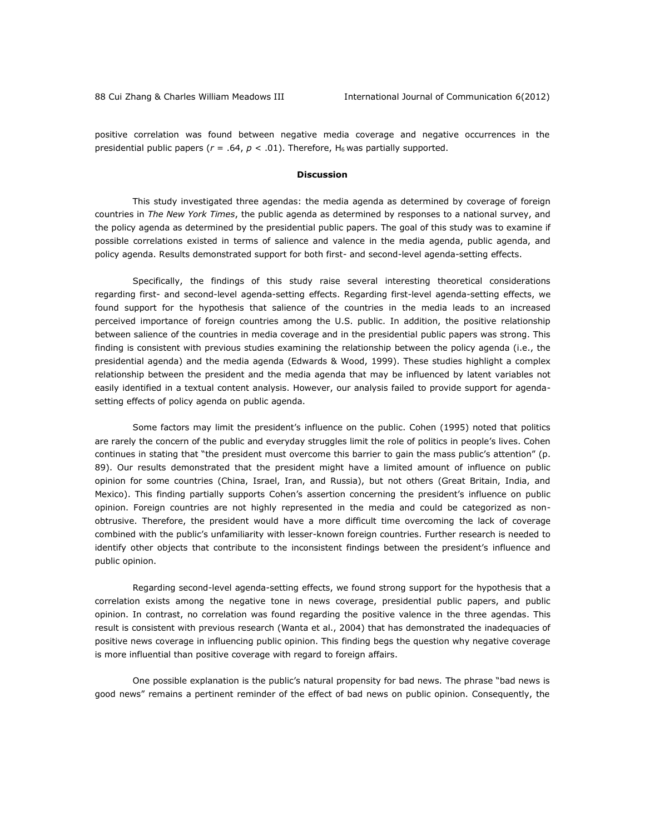positive correlation was found between negative media coverage and negative occurrences in the presidential public papers ( $r = .64$ ,  $p < .01$ ). Therefore, H<sub>6</sub> was partially supported.

#### **Discussion**

This study investigated three agendas: the media agenda as determined by coverage of foreign countries in *The New York Times*, the public agenda as determined by responses to a national survey, and the policy agenda as determined by the presidential public papers. The goal of this study was to examine if possible correlations existed in terms of salience and valence in the media agenda, public agenda, and policy agenda. Results demonstrated support for both first- and second-level agenda-setting effects.

Specifically, the findings of this study raise several interesting theoretical considerations regarding first- and second-level agenda-setting effects. Regarding first-level agenda-setting effects, we found support for the hypothesis that salience of the countries in the media leads to an increased perceived importance of foreign countries among the U.S. public. In addition, the positive relationship between salience of the countries in media coverage and in the presidential public papers was strong. This finding is consistent with previous studies examining the relationship between the policy agenda (i.e., the presidential agenda) and the media agenda (Edwards & Wood, 1999). These studies highlight a complex relationship between the president and the media agenda that may be influenced by latent variables not easily identified in a textual content analysis. However, our analysis failed to provide support for agendasetting effects of policy agenda on public agenda.

Some factors may limit the president's influence on the public. Cohen (1995) noted that politics are rarely the concern of the public and everyday struggles limit the role of politics in people's lives. Cohen continues in stating that "the president must overcome this barrier to gain the mass public's attention" (p. 89). Our results demonstrated that the president might have a limited amount of influence on public opinion for some countries (China, Israel, Iran, and Russia), but not others (Great Britain, India, and Mexico). This finding partially supports Cohen's assertion concerning the president's influence on public opinion. Foreign countries are not highly represented in the media and could be categorized as nonobtrusive. Therefore, the president would have a more difficult time overcoming the lack of coverage combined with the public's unfamiliarity with lesser-known foreign countries. Further research is needed to identify other objects that contribute to the inconsistent findings between the president's influence and public opinion.

Regarding second-level agenda-setting effects, we found strong support for the hypothesis that a correlation exists among the negative tone in news coverage, presidential public papers, and public opinion. In contrast, no correlation was found regarding the positive valence in the three agendas. This result is consistent with previous research (Wanta et al., 2004) that has demonstrated the inadequacies of positive news coverage in influencing public opinion. This finding begs the question why negative coverage is more influential than positive coverage with regard to foreign affairs.

One possible explanation is the public's natural propensity for bad news. The phrase "bad news is good news" remains a pertinent reminder of the effect of bad news on public opinion. Consequently, the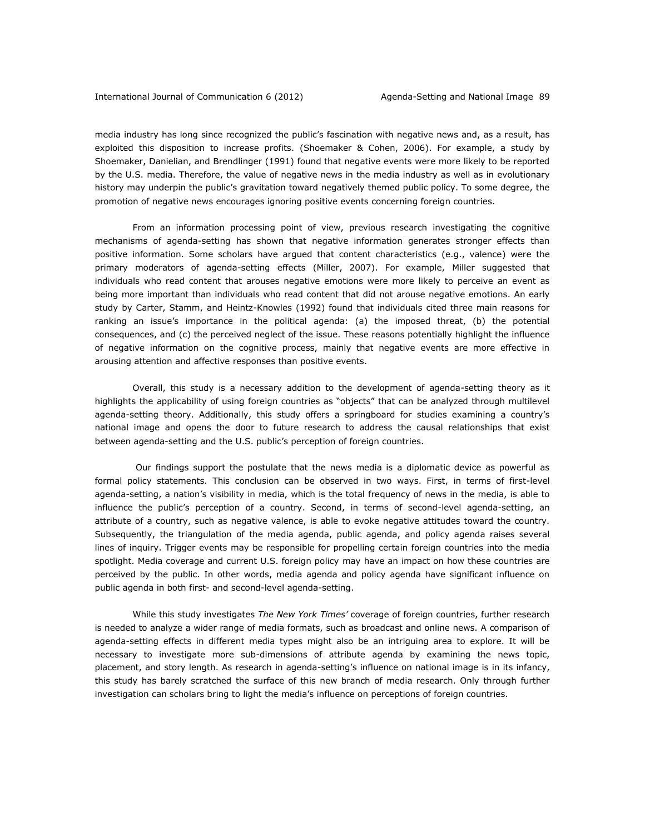#### International Journal of Communication 6 (2012) Agenda-Setting and National Image 89

media industry has long since recognized the public's fascination with negative news and, as a result, has exploited this disposition to increase profits. (Shoemaker & Cohen, 2006). For example, a study by Shoemaker, Danielian, and Brendlinger (1991) found that negative events were more likely to be reported by the U.S. media. Therefore, the value of negative news in the media industry as well as in evolutionary history may underpin the public's gravitation toward negatively themed public policy. To some degree, the promotion of negative news encourages ignoring positive events concerning foreign countries.

From an information processing point of view, previous research investigating the cognitive mechanisms of agenda-setting has shown that negative information generates stronger effects than positive information. Some scholars have argued that content characteristics (e.g., valence) were the primary moderators of agenda-setting effects (Miller, 2007). For example, Miller suggested that individuals who read content that arouses negative emotions were more likely to perceive an event as being more important than individuals who read content that did not arouse negative emotions. An early study by Carter, Stamm, and Heintz-Knowles (1992) found that individuals cited three main reasons for ranking an issue's importance in the political agenda: (a) the imposed threat, (b) the potential consequences, and (c) the perceived neglect of the issue. These reasons potentially highlight the influence of negative information on the cognitive process, mainly that negative events are more effective in arousing attention and affective responses than positive events.

Overall, this study is a necessary addition to the development of agenda-setting theory as it highlights the applicability of using foreign countries as "objects" that can be analyzed through multilevel agenda-setting theory. Additionally, this study offers a springboard for studies examining a country's national image and opens the door to future research to address the causal relationships that exist between agenda-setting and the U.S. public's perception of foreign countries.

Our findings support the postulate that the news media is a diplomatic device as powerful as formal policy statements. This conclusion can be observed in two ways. First, in terms of first-level agenda-setting, a nation's visibility in media, which is the total frequency of news in the media, is able to influence the public's perception of a country. Second, in terms of second-level agenda-setting, an attribute of a country, such as negative valence, is able to evoke negative attitudes toward the country. Subsequently, the triangulation of the media agenda, public agenda, and policy agenda raises several lines of inquiry. Trigger events may be responsible for propelling certain foreign countries into the media spotlight. Media coverage and current U.S. foreign policy may have an impact on how these countries are perceived by the public. In other words, media agenda and policy agenda have significant influence on public agenda in both first- and second-level agenda-setting.

While this study investigates *The New York Times'* coverage of foreign countries, further research is needed to analyze a wider range of media formats, such as broadcast and online news. A comparison of agenda-setting effects in different media types might also be an intriguing area to explore. It will be necessary to investigate more sub-dimensions of attribute agenda by examining the news topic, placement, and story length. As research in agenda-setting's influence on national image is in its infancy, this study has barely scratched the surface of this new branch of media research. Only through further investigation can scholars bring to light the media's influence on perceptions of foreign countries.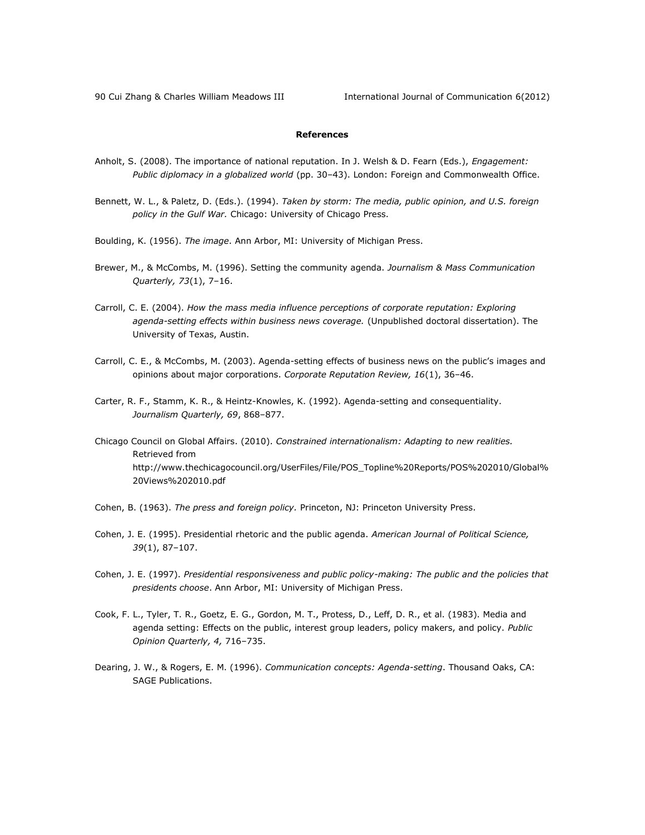90 Cui Zhang & Charles William Meadows III **International Journal of Communication 6(2012)** 

## **References**

- Anholt, S. (2008). The importance of national reputation. In J. Welsh & D. Fearn (Eds.), *Engagement: Public diplomacy in a globalized world* (pp. 30–43). London: Foreign and Commonwealth Office.
- Bennett, W. L., & Paletz, D. (Eds.). (1994). *Taken by storm: The media, public opinion, and U.S. foreign policy in the Gulf War.* Chicago: University of Chicago Press.
- Boulding, K. (1956). *The image*. Ann Arbor, MI: University of Michigan Press.
- Brewer, M., & McCombs, M. (1996). Setting the community agenda. *Journalism & Mass Communication Quarterly, 73*(1), 7–16.
- Carroll, C. E. (2004). *How the mass media influence perceptions of corporate reputation: Exploring agenda-setting effects within business news coverage.* (Unpublished doctoral dissertation). The University of Texas, Austin.
- Carroll, C. E., & McCombs, M. (2003). Agenda-setting effects of business news on the public's images and opinions about major corporations. *Corporate Reputation Review, 16*(1), 36–46.
- Carter, R. F., Stamm, K. R., & Heintz-Knowles, K. (1992). Agenda-setting and consequentiality. *Journalism Quarterly, 69*, 868–877.
- Chicago Council on Global Affairs. (2010). *Constrained internationalism: Adapting to new realities.* Retrieved from [http://www.thechicagocouncil.org/UserFiles/File/POS\\_Topline%20Reports/POS%202010/Global%](http://www.thechicagocouncil.org/UserFiles/File/POS_Topline%20Reports/POS%202010/Global%20Views%202010.pdf) [20Views%202010.pdf](http://www.thechicagocouncil.org/UserFiles/File/POS_Topline%20Reports/POS%202010/Global%20Views%202010.pdf)
- Cohen, B. (1963). *The press and foreign policy.* Princeton, NJ: Princeton University Press.
- Cohen, J. E. (1995). Presidential rhetoric and the public agenda. *American Journal of Political Science, 39*(1), 87–107.
- Cohen, J. E. (1997). *Presidential responsiveness and public policy-making: The public and the policies that presidents choose*. Ann Arbor, MI: University of Michigan Press.
- Cook, F. L., Tyler, T. R., Goetz, E. G., Gordon, M. T., Protess, D., Leff, D. R., et al. (1983). Media and agenda setting: Effects on the public, interest group leaders, policy makers, and policy. *Public Opinion Quarterly, 4,* 716–735.
- Dearing, J. W., & Rogers, E. M. (1996). *Communication concepts: Agenda-setting*. Thousand Oaks, CA: SAGE Publications.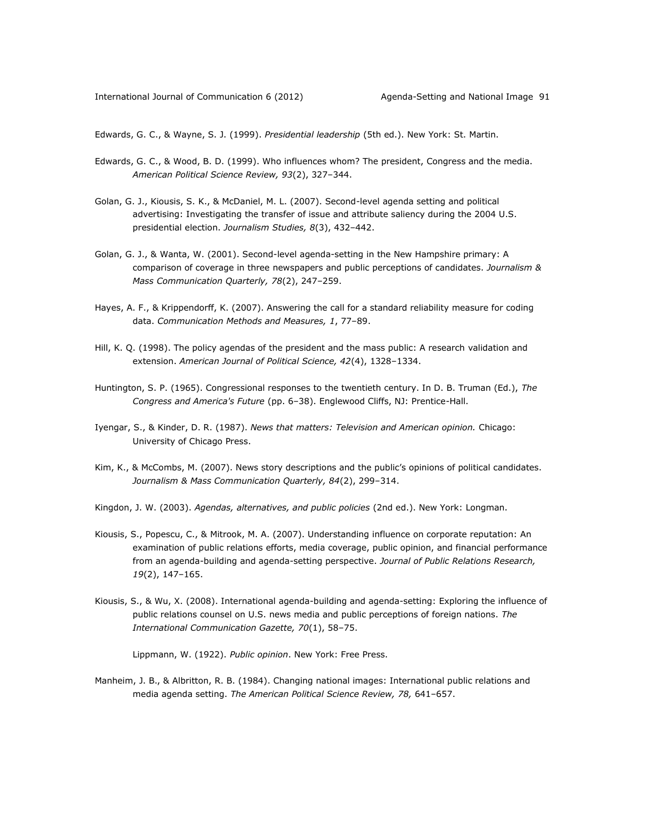Edwards, G. C., & Wayne, S. J. (1999). *Presidential leadership* (5th ed.). New York: St. Martin.

- Edwards, G. C., & Wood, B. D. (1999). Who influences whom? The president, Congress and the media. *American Political Science Review, 93*(2), 327–344.
- Golan, G. J., Kiousis, S. K., & McDaniel, M. L. (2007). Second-level agenda setting and political advertising: Investigating the transfer of issue and attribute saliency during the 2004 U.S. presidential election. *Journalism Studies, 8*(3), 432–442.
- Golan, G. J., & Wanta, W. (2001). Second-level agenda-setting in the New Hampshire primary: A comparison of coverage in three newspapers and public perceptions of candidates. *Journalism & Mass Communication Quarterly, 78*(2), 247–259.
- Hayes, A. F., & Krippendorff, K. (2007). Answering the call for a standard reliability measure for coding data. *Communication Methods and Measures, 1*, 77–89.
- Hill, K. Q. (1998). The policy agendas of the president and the mass public: A research validation and extension. *American Journal of Political Science, 42*(4), 1328–1334.
- Huntington, S. P. (1965). Congressional responses to the twentieth century. In D. B. Truman (Ed.), *The Congress and America's Future* (pp. 6–38). Englewood Cliffs, NJ: Prentice-Hall.
- Iyengar, S., & Kinder, D. R. (1987). *News that matters: Television and American opinion.* Chicago: University of Chicago Press.
- Kim, K., & McCombs, M. (2007). News story descriptions and the public's opinions of political candidates. *Journalism & Mass Communication Quarterly, 84*(2), 299–314.
- Kingdon, J. W. (2003). *Agendas, alternatives, and public policies* (2nd ed.). New York: Longman.
- Kiousis, S., Popescu, C., & Mitrook, M. A. (2007). Understanding influence on corporate reputation: An examination of public relations efforts, media coverage, public opinion, and financial performance from an agenda-building and agenda-setting perspective. *Journal of Public Relations Research, 19*(2), 147–165.
- Kiousis, S., & Wu, X. (2008). International agenda-building and agenda-setting: Exploring the influence of public relations counsel on U.S. news media and public perceptions of foreign nations. *The International Communication Gazette, 70*(1), 58–75.

Lippmann, W. (1922). *Public opinion*. New York: Free Press.

Manheim, J. B., & Albritton, R. B. (1984). Changing national images: International public relations and media agenda setting. *The American Political Science Review, 78,* 641–657.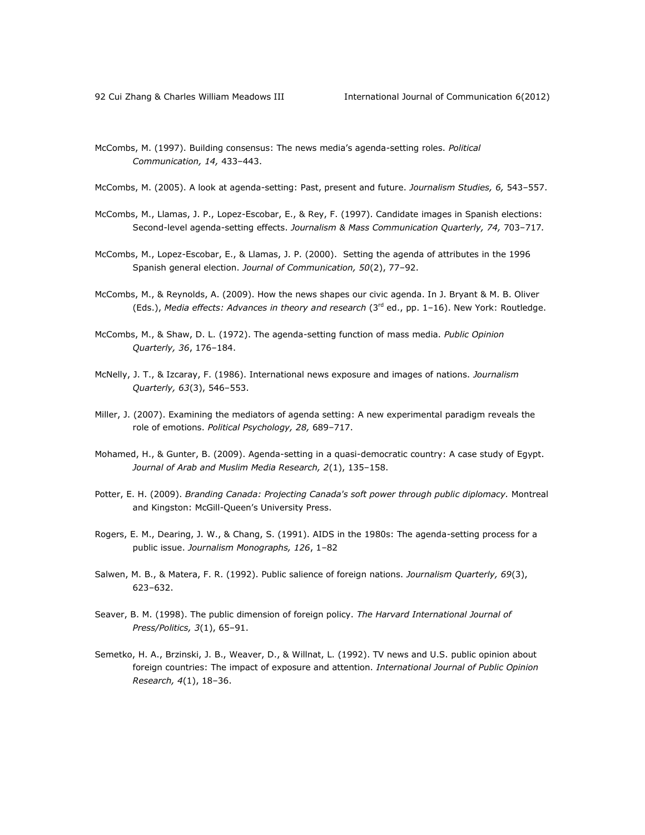- McCombs, M. (1997). Building consensus: The news media's agenda-setting roles. *Political Communication, 14,* 433–443.
- McCombs, M. (2005). A look at agenda-setting: Past, present and future. *Journalism Studies, 6,* 543–557.
- McCombs, M., Llamas, J. P., Lopez-Escobar, E., & Rey, F. (1997). Candidate images in Spanish elections: Second-level agenda-setting effects. *Journalism & Mass Communication Quarterly, 74,* 703–717*.*
- McCombs, M., Lopez-Escobar, E., & Llamas, J. P. (2000). Setting the agenda of attributes in the 1996 Spanish general election. *Journal of Communication, 50*(2), 77–92.
- McCombs, M., & Reynolds, A. (2009). How the news shapes our civic agenda. In J. Bryant & M. B. Oliver (Eds.), *Media effects: Advances in theory and research* (3rd ed., pp. 1–16). New York: Routledge.
- McCombs, M., & Shaw, D. L. (1972). The agenda-setting function of mass media. *Public Opinion Quarterly, 36*, 176–184.
- McNelly, J. T., & Izcaray, F. (1986). International news exposure and images of nations. *Journalism Quarterly, 63*(3), 546–553.
- Miller, J. (2007). Examining the mediators of agenda setting: A new experimental paradigm reveals the role of emotions. *Political Psychology, 28,* 689–717.
- Mohamed, H., & Gunter, B. (2009). Agenda-setting in a quasi-democratic country: A case study of Egypt. *Journal of Arab and Muslim Media Research, 2*(1), 135–158.
- Potter, E. H. (2009). *Branding Canada: Projecting Canada's soft power through public diplomacy.* Montreal and Kingston: McGill-Queen's University Press.
- Rogers, E. M., Dearing, J. W., & Chang, S. (1991). AIDS in the 1980s: The agenda-setting process for a public issue. *Journalism Monographs, 126*, 1–82
- Salwen, M. B., & Matera, F. R. (1992). Public salience of foreign nations. *Journalism Quarterly, 69*(3), 623–632.
- Seaver, B. M. (1998). The public dimension of foreign policy. *The Harvard International Journal of Press/Politics, 3*(1), 65–91.
- Semetko, H. A., Brzinski, J. B., Weaver, D., & Willnat, L. (1992). TV news and U.S. public opinion about foreign countries: The impact of exposure and attention. *International Journal of Public Opinion Research, 4*(1), 18–36.